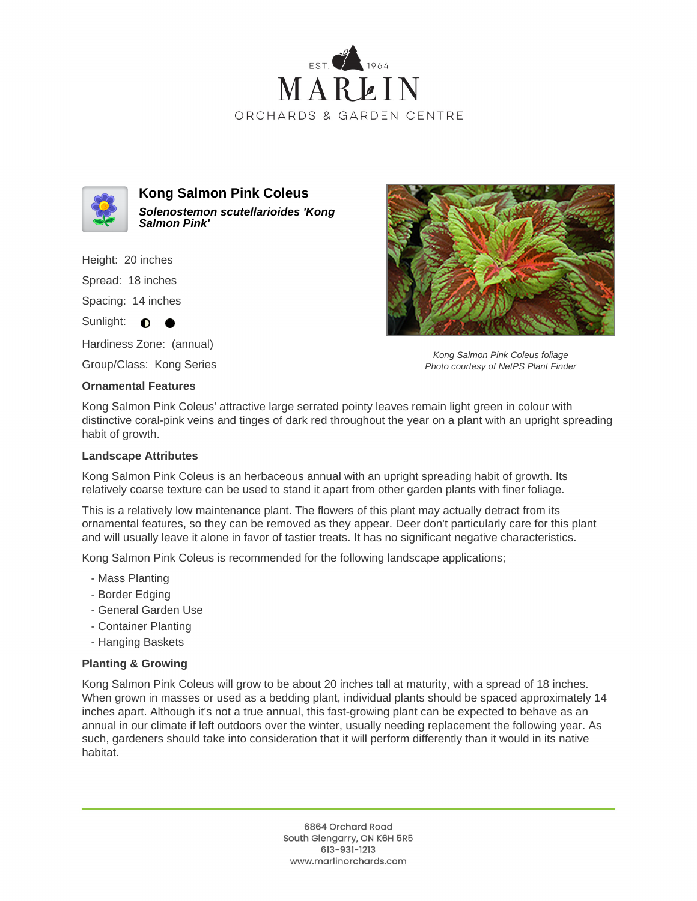



**Kong Salmon Pink Coleus Solenostemon scutellarioides 'Kong Salmon Pink'**

Height: 20 inches

Spread: 18 inches

Spacing: 14 inches

Sunlight:  $\bullet$  $\bullet$ 

Hardiness Zone: (annual)

Group/Class: Kong Series

## **Ornamental Features**

Kong Salmon Pink Coleus foliage Photo courtesy of NetPS Plant Finder

Kong Salmon Pink Coleus' attractive large serrated pointy leaves remain light green in colour with distinctive coral-pink veins and tinges of dark red throughout the year on a plant with an upright spreading habit of growth.

## **Landscape Attributes**

Kong Salmon Pink Coleus is an herbaceous annual with an upright spreading habit of growth. Its relatively coarse texture can be used to stand it apart from other garden plants with finer foliage.

This is a relatively low maintenance plant. The flowers of this plant may actually detract from its ornamental features, so they can be removed as they appear. Deer don't particularly care for this plant and will usually leave it alone in favor of tastier treats. It has no significant negative characteristics.

Kong Salmon Pink Coleus is recommended for the following landscape applications;

- Mass Planting
- Border Edging
- General Garden Use
- Container Planting
- Hanging Baskets

## **Planting & Growing**

Kong Salmon Pink Coleus will grow to be about 20 inches tall at maturity, with a spread of 18 inches. When grown in masses or used as a bedding plant, individual plants should be spaced approximately 14 inches apart. Although it's not a true annual, this fast-growing plant can be expected to behave as an annual in our climate if left outdoors over the winter, usually needing replacement the following year. As such, gardeners should take into consideration that it will perform differently than it would in its native habitat.

> 6864 Orchard Road South Glengarry, ON K6H 5R5 613-931-1213 www.marlinorchards.com